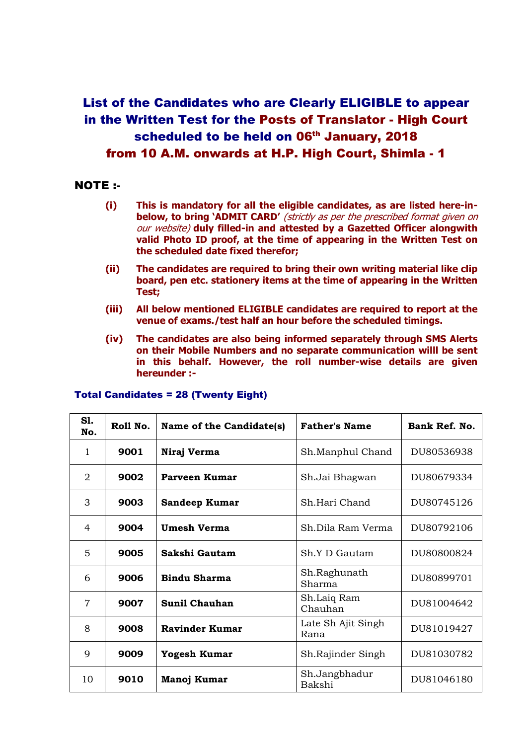## List of the Candidates who are Clearly ELIGIBLE to appear in the Written Test for the Posts of Translator - High Court scheduled to be held on 06<sup>th</sup> January, 2018 from 10 A.M. onwards at H.P. High Court, Shimla - 1

## NOTE :-

- **(i) This is mandatory for all the eligible candidates, as are listed here-inbelow, to bring 'ADMIT CARD'** (strictly as per the prescribed format given on our website) **duly filled-in and attested by a Gazetted Officer alongwith valid Photo ID proof, at the time of appearing in the Written Test on the scheduled date fixed therefor;**
- **(ii) The candidates are required to bring their own writing material like clip board, pen etc. stationery items at the time of appearing in the Written Test;**
- **(iii) All below mentioned ELIGIBLE candidates are required to report at the venue of exams./test half an hour before the scheduled timings.**
- **(iv) The candidates are also being informed separately through SMS Alerts on their Mobile Numbers and no separate communication willl be sent in this behalf. However, the roll number-wise details are given hereunder :-**

| S1.<br>No.     | Roll No. | Name of the Candidate(s) | <b>Father's Name</b>       | Bank Ref. No. |
|----------------|----------|--------------------------|----------------------------|---------------|
| 1              | 9001     | Niraj Verma              | Sh.Manphul Chand           | DU80536938    |
| $\overline{2}$ | 9002     | Parveen Kumar            | Sh.Jai Bhagwan             | DU80679334    |
| 3              | 9003     | <b>Sandeep Kumar</b>     | Sh.Hari Chand              | DU80745126    |
| $\overline{4}$ | 9004     | <b>Umesh Verma</b>       | Sh.Dila Ram Verma          | DU80792106    |
| 5              | 9005     | Sakshi Gautam            | Sh Y D Gautam              | DU80800824    |
| 6              | 9006     | <b>Bindu Sharma</b>      | Sh.Raghunath<br>Sharma     | DU80899701    |
| $\overline{7}$ | 9007     | <b>Sunil Chauhan</b>     | Sh.Laiq Ram<br>Chauhan     | DU81004642    |
| 8              | 9008     | <b>Ravinder Kumar</b>    | Late Sh Ajit Singh<br>Rana | DU81019427    |
| 9              | 9009     | Yogesh Kumar             | Sh.Rajinder Singh          | DU81030782    |
| 10             | 9010     | Manoj Kumar              | Sh.Jangbhadur<br>Bakshi    | DU81046180    |

## Total Candidates = 28 (Twenty Eight)